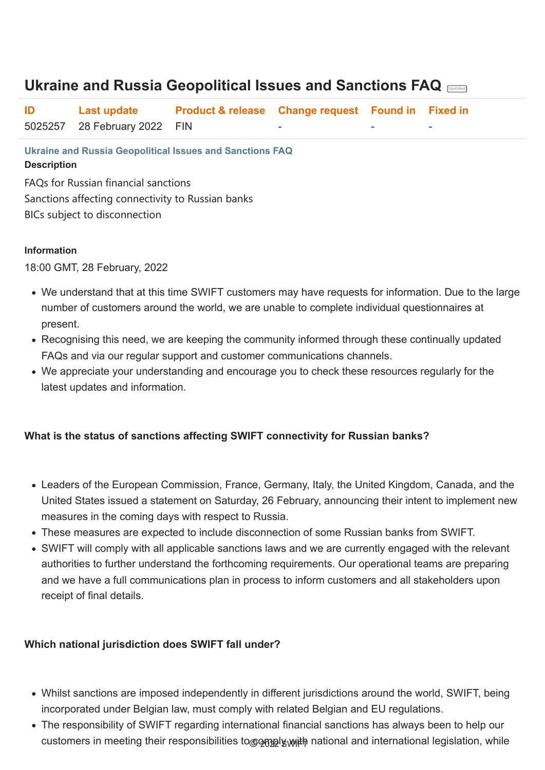**Ukraine and Russia Geopolitical Issues and Sanctions FAQ Description**

FAQs for Russian financial sanctions Sanctions affecting connectivity to Russian banks BICs subject to disconnection

#### **Information**

18:00 GMT, 28 February, 2022

- We understand that at this time SWIFT customers may have requests for information. Due to the large number of customers around the world, we are unable to complete individual questionnaires at present.
- Recognising this need, we are keeping the community informed through these continually updated FAQs and via our regular support and customer communications channels.
- We appreciate your understanding and encourage you to check these resources regularly for the latest updates and information.

- Whilst sanctions are imposed independently in different jurisdictions around the world, SWIFT, being incorporated under Belgian law, must comply with related Belgian and EU regulations.
- The responsibility of SWIFT regarding international financial sanctions has always been to help our customers in meeting their responsibilities to og and international legislation, while

#### **What is the status of sanctions affecting SWIFT connectivity for Russian banks?**

- Leaders of the European Commission, France, Germany, Italy, the United Kingdom, Canada, and the United States issued a statement on Saturday, 26 February, announcing their intent to implement new measures in the coming days with respect to Russia.
- These measures are expected to include disconnection of some Russian banks from SWIFT.
- SWIFT will comply with all applicable sanctions laws and we are currently engaged with the relevant authorities to further understand the forthcoming requirements. Our operational teams are preparing and we have a full communications plan in process to inform customers and all stakeholders upon

receipt of final details.

#### **Which national jurisdiction does SWIFT fall under?**

# **Ukraine and Russia Geopolitical Issues and Sanctions FAQ Updated**

| ID | Last update                  | <b>Product &amp; release Change request Found in Fixed in</b> |          |          |
|----|------------------------------|---------------------------------------------------------------|----------|----------|
|    | 5025257 28 February 2022 FIN |                                                               | $\equiv$ | $\equiv$ |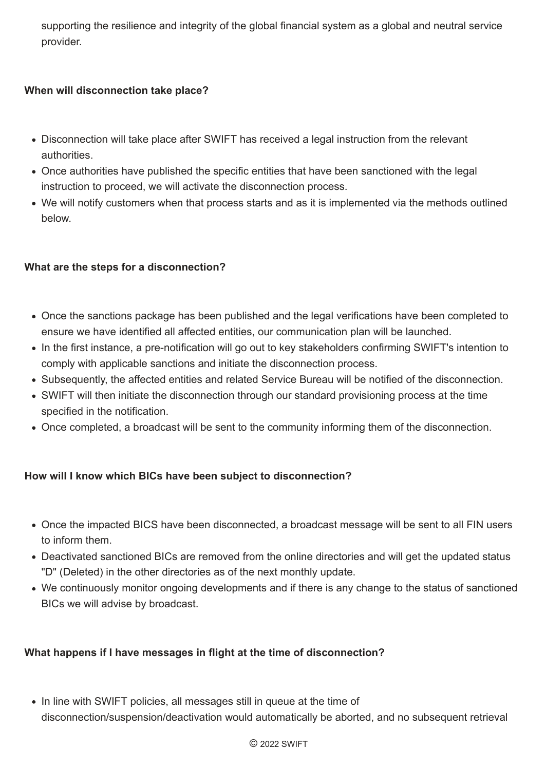supporting the resilience and integrity of the global financial system as a global and neutral service provider.

### **When will disconnection take place?**

- Disconnection will take place after SWIFT has received a legal instruction from the relevant authorities.
- Once authorities have published the specific entities that have been sanctioned with the legal instruction to proceed, we will activate the disconnection process.
- We will notify customers when that process starts and as it is implemented via the methods outlined below.

# **What are the steps for a disconnection?**

- Once the sanctions package has been published and the legal verifications have been completed to ensure we have identified all affected entities, our communication plan will be launched.
- In the first instance, a pre-notification will go out to key stakeholders confirming SWIFT's intention to comply with applicable sanctions and initiate the disconnection process.
- Subsequently, the affected entities and related Service Bureau will be notified of the disconnection.
- SWIFT will then initiate the disconnection through our standard provisioning process at the time specified in the notification.
- Once completed, a broadcast will be sent to the community informing them of the disconnection.

• In line with SWIFT policies, all messages still in queue at the time of disconnection/suspension/deactivation would automatically be aborted, and no subsequent retrieval

### **How will I know which BICs have been subject to disconnection?**

- Once the impacted BICS have been disconnected, a broadcast message will be sent to all FIN users to inform them.
- Deactivated sanctioned BICs are removed from the online directories and will get the updated status "D" (Deleted) in the other directories as of the next monthly update.
- We continuously monitor ongoing developments and if there is any change to the status of sanctioned BICs we will advise by broadcast.

#### **What happens if I have messages in flight at the time of disconnection?**

© 2022 SWIFT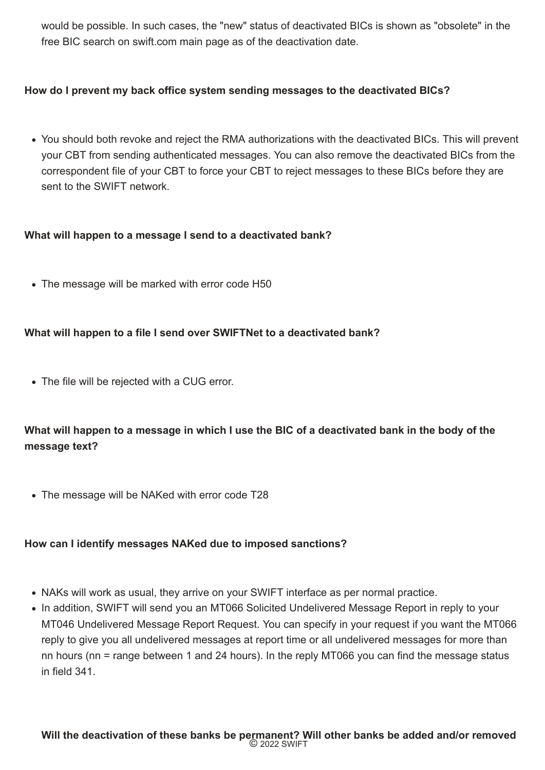would be possible. In such cases, the "new" status of deactivated BICs is shown as "obsolete" in the free BIC search on swift.com main page as of the deactivation date.

#### **How do I prevent my back office system sending messages to the deactivated BICs?**

You should both revoke and reject the RMA authorizations with the deactivated BICs. This will prevent your CBT from sending authenticated messages. You can also remove the deactivated BICs from the correspondent file of your CBT to force your CBT to reject messages to these BICs before they are sent to the SWIFT network.

#### **What will happen to a message I send to a deactivated bank?**

• The message will be marked with error code H50

### **What will happen to a file I send over SWIFTNet to a deactivated bank?**

The file will be rejected with a CUG error.

**What will happen to a message in which I use the BIC of a deactivated bank in the body of the message text?**

• The message will be NAKed with error code T28

**How can I identify messages NAKed due to imposed sanctions?**

- NAKs will work as usual, they arrive on your SWIFT interface as per normal practice.
- In addition, SWIFT will send you an MT066 Solicited Undelivered Message Report in reply to your MT046 Undelivered Message Report Request. You can specify in your request if you want the MT066 reply to give you all undelivered messages at report time or all undelivered messages for more than nn hours (nn = range between 1 and 24 hours). In the reply MT066 you can find the message status in field 341.

#### **Will the deactivation of these banks be permanent? Will other banks be added and/or removed** © 2022 SWIFT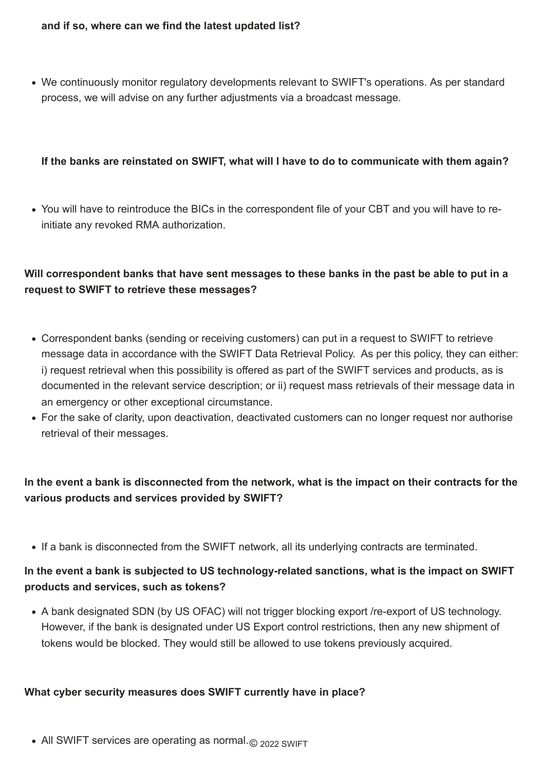We continuously monitor regulatory developments relevant to SWIFT's operations. As per standard process, we will advise on any further adjustments via a broadcast message.

#### **If the banks are reinstated on SWIFT, what will I have to do to communicate with them again?**

You will have to reintroduce the BICs in the correspondent file of your CBT and you will have to reinitiate any revoked RMA authorization.

# **Will correspondent banks that have sent messages to these banks in the past be able to put in a request to SWIFT to retrieve these messages?**

- Correspondent banks (sending or receiving customers) can put in a request to SWIFT to retrieve message data in accordance with the SWIFT Data Retrieval Policy. As per this policy, they can either: i) request retrieval when this possibility is offered as part of the SWIFT services and products, as is documented in the relevant service description; or ii) request mass retrievals of their message data in an emergency or other exceptional circumstance.
- For the sake of clarity, upon deactivation, deactivated customers can no longer request nor authorise retrieval of their messages.

# **In the event a bank is disconnected from the network, what is the impact on their contracts for the various products and services provided by SWIFT?**

• If a bank is disconnected from the SWIFT network, all its underlying contracts are terminated.

### **In the event a bank is subjected to US technology-related sanctions, what is the impact on SWIFT**

#### **products and services, such as tokens?**

A bank designated SDN (by US OFAC) will not trigger blocking export /re-export of US technology. However, if the bank is designated under US Export control restrictions, then any new shipment of tokens would be blocked. They would still be allowed to use tokens previously acquired.

#### **What cyber security measures does SWIFT currently have in place?**

• All SWIFT services are operating as normal. © 2022 SWIFT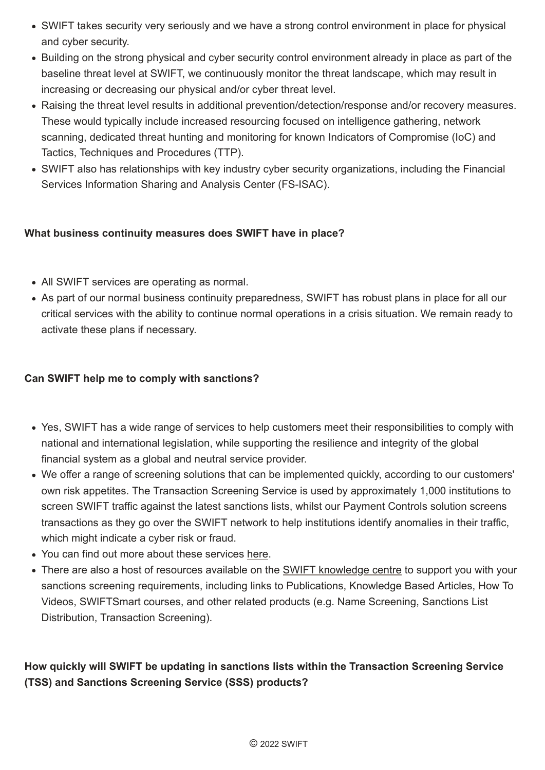- SWIFT takes security very seriously and we have a strong control environment in place for physical and cyber security.
- Building on the strong physical and cyber security control environment already in place as part of the baseline threat level at SWIFT, we continuously monitor the threat landscape, which may result in increasing or decreasing our physical and/or cyber threat level.
- Raising the threat level results in additional prevention/detection/response and/or recovery measures. These would typically include increased resourcing focused on intelligence gathering, network scanning, dedicated threat hunting and monitoring for known Indicators of Compromise (IoC) and Tactics, Techniques and Procedures (TTP).
- SWIFT also has relationships with key industry cyber security organizations, including the Financial Services Information Sharing and Analysis Center (FS-ISAC).

- Yes, SWIFT has a wide range of services to help customers meet their responsibilities to comply with national and international legislation, while supporting the resilience and integrity of the global financial system as a global and neutral service provider.
- We offer a range of screening solutions that can be implemented quickly, according to our customers' own risk appetites. The Transaction Screening Service is used by approximately 1,000 institutions to screen SWIFT traffic against the latest sanctions lists, whilst our Payment Controls solution screens transactions as they go over the SWIFT network to help institutions identify anomalies in their traffic, which might indicate a cyber risk or fraud.
- You can find out more about these services [here.](https://www.swift.com/our-solutions/compliance-and-shared-services/financial-crime-compliance/sanctions-solutions)
- There are also a host of resources available on the **SWIFT** knowledge centre to support you with your

### **What business continuity measures does SWIFT have in place?**

- All SWIFT services are operating as normal.
- As part of our normal business continuity preparedness, SWIFT has robust plans in place for all our critical services with the ability to continue normal operations in a crisis situation. We remain ready to activate these plans if necessary.

# **Can SWIFT help me to comply with sanctions?**

sanctions screening requirements, including links to Publications, Knowledge Based Articles, How To Videos, SWIFTSmart courses, and other related products (e.g. Name Screening, Sanctions List Distribution, Transaction Screening).

# **How quickly will SWIFT be updating in sanctions lists within the Transaction Screening Service (TSS) and Sanctions Screening Service (SSS) products?**